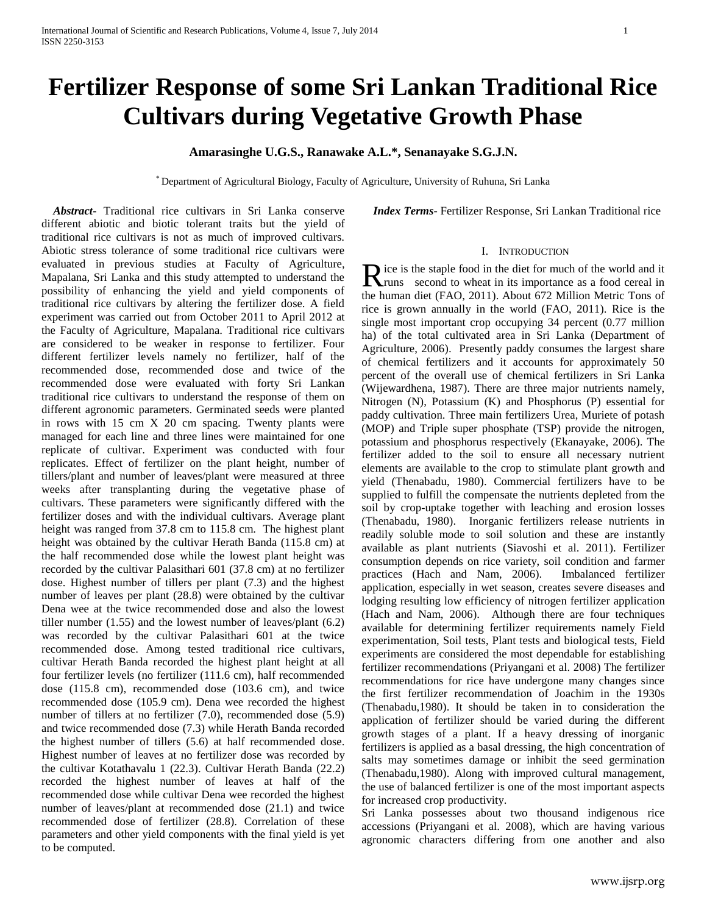# **Fertilizer Response of some Sri Lankan Traditional Rice Cultivars during Vegetative Growth Phase**

# **Amarasinghe U.G.S., Ranawake A.L.\*, Senanayake S.G.J.N.**

\* Department of Agricultural Biology, Faculty of Agriculture, University of Ruhuna, Sri Lanka

 *Abstract***-** Traditional rice cultivars in Sri Lanka conserve different abiotic and biotic tolerant traits but the yield of traditional rice cultivars is not as much of improved cultivars. Abiotic stress tolerance of some traditional rice cultivars were evaluated in previous studies at Faculty of Agriculture, Mapalana, Sri Lanka and this study attempted to understand the possibility of enhancing the yield and yield components of traditional rice cultivars by altering the fertilizer dose. A field experiment was carried out from October 2011 to April 2012 at the Faculty of Agriculture, Mapalana. Traditional rice cultivars are considered to be weaker in response to fertilizer. Four different fertilizer levels namely no fertilizer, half of the recommended dose, recommended dose and twice of the recommended dose were evaluated with forty Sri Lankan traditional rice cultivars to understand the response of them on different agronomic parameters. Germinated seeds were planted in rows with 15 cm X 20 cm spacing. Twenty plants were managed for each line and three lines were maintained for one replicate of cultivar. Experiment was conducted with four replicates. Effect of fertilizer on the plant height, number of tillers/plant and number of leaves/plant were measured at three weeks after transplanting during the vegetative phase of cultivars. These parameters were significantly differed with the fertilizer doses and with the individual cultivars. Average plant height was ranged from 37.8 cm to 115.8 cm. The highest plant height was obtained by the cultivar Herath Banda (115.8 cm) at the half recommended dose while the lowest plant height was recorded by the cultivar Palasithari 601 (37.8 cm) at no fertilizer dose. Highest number of tillers per plant (7.3) and the highest number of leaves per plant (28.8) were obtained by the cultivar Dena wee at the twice recommended dose and also the lowest tiller number (1.55) and the lowest number of leaves/plant (6.2) was recorded by the cultivar Palasithari 601 at the twice recommended dose. Among tested traditional rice cultivars, cultivar Herath Banda recorded the highest plant height at all four fertilizer levels (no fertilizer (111.6 cm), half recommended dose (115.8 cm), recommended dose (103.6 cm), and twice recommended dose (105.9 cm). Dena wee recorded the highest number of tillers at no fertilizer (7.0), recommended dose (5.9) and twice recommended dose (7.3) while Herath Banda recorded the highest number of tillers (5.6) at half recommended dose. Highest number of leaves at no fertilizer dose was recorded by the cultivar Kotathavalu 1 (22.3). Cultivar Herath Banda (22.2) recorded the highest number of leaves at half of the recommended dose while cultivar Dena wee recorded the highest number of leaves/plant at recommended dose (21.1) and twice recommended dose of fertilizer (28.8). Correlation of these parameters and other yield components with the final yield is yet to be computed.

 *Index Terms*- Fertilizer Response, Sri Lankan Traditional rice

## I. INTRODUCTION

ice is the staple food in the diet for much of the world and it Rice is the staple food in the diet for much of the world and it<br>
runs second to wheat in its importance as a food cereal in the human diet (FAO, 2011). About 672 Million Metric Tons of rice is grown annually in the world (FAO, 2011). Rice is the single most important crop occupying 34 percent (0.77 million ha) of the total cultivated area in Sri Lanka (Department of Agriculture, 2006). Presently paddy consumes the largest share of chemical fertilizers and it accounts for approximately 50 percent of the overall use of chemical fertilizers in Sri Lanka (Wijewardhena, 1987). There are three major nutrients namely, Nitrogen (N), Potassium (K) and Phosphorus (P) essential for paddy cultivation. Three main fertilizers Urea, Muriete of potash (MOP) and Triple super phosphate (TSP) provide the nitrogen, potassium and phosphorus respectively (Ekanayake, 2006). The fertilizer added to the soil to ensure all necessary nutrient elements are available to the crop to stimulate plant growth and yield (Thenabadu, 1980). Commercial fertilizers have to be supplied to fulfill the compensate the nutrients depleted from the soil by crop-uptake together with leaching and erosion losses (Thenabadu, 1980). Inorganic fertilizers release nutrients in readily soluble mode to soil solution and these are instantly available as plant nutrients (Siavoshi et al. 2011). Fertilizer consumption depends on rice variety, soil condition and farmer practices (Hach and Nam, 2006). Imbalanced fertilizer application, especially in wet season, creates severe diseases and lodging resulting low efficiency of nitrogen fertilizer application (Hach and Nam, 2006). Although there are four techniques available for determining fertilizer requirements namely Field experimentation, Soil tests, Plant tests and biological tests, Field experiments are considered the most dependable for establishing fertilizer recommendations (Priyangani et al. 2008) The fertilizer recommendations for rice have undergone many changes since the first fertilizer recommendation of Joachim in the 1930s (Thenabadu,1980). It should be taken in to consideration the application of fertilizer should be varied during the different growth stages of a plant. If a heavy dressing of inorganic fertilizers is applied as a basal dressing, the high concentration of salts may sometimes damage or inhibit the seed germination (Thenabadu,1980). Along with improved cultural management, the use of balanced fertilizer is one of the most important aspects for increased crop productivity.

Sri Lanka possesses about two thousand indigenous rice accessions (Priyangani et al. 2008), which are having various agronomic characters differing from one another and also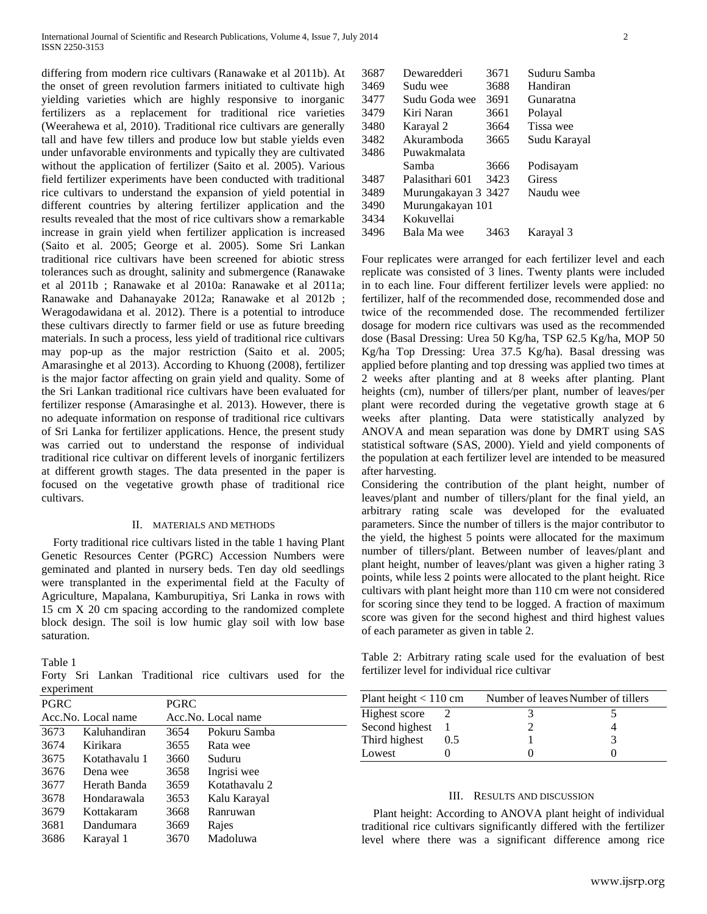differing from modern rice cultivars (Ranawake et al 2011b). At the onset of green revolution farmers initiated to cultivate high yielding varieties which are highly responsive to inorganic fertilizers as a replacement for traditional rice varieties (Weerahewa et al, 2010). Traditional rice cultivars are generally tall and have few tillers and produce low but stable yields even under unfavorable environments and typically they are cultivated without the application of fertilizer (Saito et al. 2005). Various field fertilizer experiments have been conducted with traditional rice cultivars to understand the expansion of yield potential in different countries by altering fertilizer application and the results revealed that the most of rice cultivars show a remarkable increase in grain yield when fertilizer application is increased (Saito et al. 2005; George et al. 2005). Some Sri Lankan traditional rice cultivars have been screened for abiotic stress tolerances such as drought, salinity and submergence (Ranawake et al 2011b ; Ranawake et al 2010a: Ranawake et al 2011a; Ranawake and Dahanayake 2012a; Ranawake et al 2012b ; Weragodawidana et al. 2012). There is a potential to introduce these cultivars directly to farmer field or use as future breeding materials. In such a process, less yield of traditional rice cultivars may pop-up as the major restriction (Saito et al. 2005; Amarasinghe et al 2013). According to Khuong (2008), fertilizer is the major factor affecting on grain yield and quality. Some of the Sri Lankan traditional rice cultivars have been evaluated for fertilizer response (Amarasinghe et al. 2013). However, there is no adequate information on response of traditional rice cultivars of Sri Lanka for fertilizer applications. Hence, the present study was carried out to understand the response of individual traditional rice cultivar on different levels of inorganic fertilizers at different growth stages. The data presented in the paper is focused on the vegetative growth phase of traditional rice cultivars.

#### II. MATERIALS AND METHODS

 Forty traditional rice cultivars listed in the table 1 having Plant Genetic Resources Center (PGRC) Accession Numbers were geminated and planted in nursery beds. Ten day old seedlings were transplanted in the experimental field at the Faculty of Agriculture, Mapalana, Kamburupitiya, Sri Lanka in rows with 15 cm X 20 cm spacing according to the randomized complete block design. The soil is low humic glay soil with low base saturation.

#### Table 1

Forty Sri Lankan Traditional rice cultivars used for the experiment

| <b>PGRC</b> |                    | PGRC |                    |
|-------------|--------------------|------|--------------------|
|             | Acc.No. Local name |      | Acc.No. Local name |
| 3673        | Kaluhandiran       | 3654 | Pokuru Samba       |
| 3674        | Kirikara           | 3655 | Rata wee           |
| 3675        | Kotathavalu 1      | 3660 | Suduru             |
| 3676        | Dena wee           | 3658 | Ingrisi wee        |
| 3677        | Herath Banda       | 3659 | Kotathavalu 2      |
| 3678        | Hondarawala        | 3653 | Kalu Karayal       |
| 3679        | Kottakaram         | 3668 | Ranruwan           |
| 3681        | Dandumara          | 3669 | Rajes              |
| 3686        | Karayal 1          | 3670 | Madoluwa           |

| 3687 | Dewaredderi         | 3671 | Suduru Samba |
|------|---------------------|------|--------------|
| 3469 | Sudu wee            | 3688 | Handiran     |
| 3477 | Sudu Goda wee       | 3691 | Gunaratna    |
| 3479 | Kiri Naran          | 3661 | Polayal      |
| 3480 | Karayal 2           | 3664 | Tissa wee    |
| 3482 | Akuramboda          | 3665 | Sudu Karayal |
| 3486 | Puwakmalata         |      |              |
|      | Samba               | 3666 | Podisayam    |
| 3487 | Palasithari 601     | 3423 | Giress       |
| 3489 | Murungakayan 3 3427 |      | Naudu wee    |
| 3490 | Murungakayan 101    |      |              |
| 3434 | Kokuvellai          |      |              |
| 3496 | Bala Ma wee         | 3463 | Karayal 3    |
|      |                     |      |              |

Four replicates were arranged for each fertilizer level and each replicate was consisted of 3 lines. Twenty plants were included in to each line. Four different fertilizer levels were applied: no fertilizer, half of the recommended dose, recommended dose and twice of the recommended dose. The recommended fertilizer dosage for modern rice cultivars was used as the recommended dose (Basal Dressing: Urea 50 Kg/ha, TSP 62.5 Kg/ha, MOP 50 Kg/ha Top Dressing: Urea 37.5 Kg/ha). Basal dressing was applied before planting and top dressing was applied two times at 2 weeks after planting and at 8 weeks after planting. Plant heights (cm), number of tillers/per plant, number of leaves/per plant were recorded during the vegetative growth stage at 6 weeks after planting. Data were statistically analyzed by ANOVA and mean separation was done by DMRT using SAS statistical software (SAS, 2000). Yield and yield components of the population at each fertilizer level are intended to be measured after harvesting.

Considering the contribution of the plant height, number of leaves/plant and number of tillers/plant for the final yield, an arbitrary rating scale was developed for the evaluated parameters. Since the number of tillers is the major contributor to the yield, the highest 5 points were allocated for the maximum number of tillers/plant. Between number of leaves/plant and plant height, number of leaves/plant was given a higher rating 3 points, while less 2 points were allocated to the plant height. Rice cultivars with plant height more than 110 cm were not considered for scoring since they tend to be logged. A fraction of maximum score was given for the second highest and third highest values of each parameter as given in table 2.

Table 2: Arbitrary rating scale used for the evaluation of best fertilizer level for individual rice cultivar

| Plant height $< 110$ cm |     | Number of leaves Number of tillers |  |  |  |
|-------------------------|-----|------------------------------------|--|--|--|
| Highest score           |     |                                    |  |  |  |
| Second highest          |     |                                    |  |  |  |
| Third highest           | 0.5 |                                    |  |  |  |
| Lowest                  |     |                                    |  |  |  |

#### III. RESULTS AND DISCUSSION

 Plant height: According to ANOVA plant height of individual traditional rice cultivars significantly differed with the fertilizer level where there was a significant difference among rice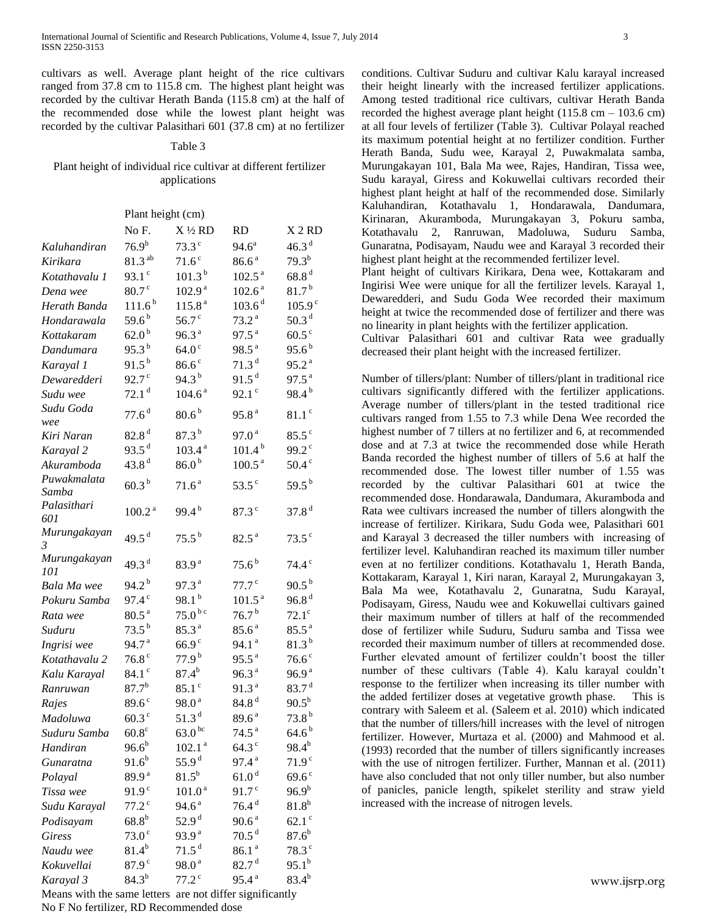cultivars as well. Average plant height of the rice cultivars ranged from 37.8 cm to 115.8 cm. The highest plant height was recorded by the cultivar Herath Banda (115.8 cm) at the half of the recommended dose while the lowest plant height was recorded by the cultivar Palasithari 601 (37.8 cm) at no fertilizer

### Table 3

## Plant height of individual rice cultivar at different fertilizer applications

|                      | Plant height (cm)   |                     |                     |                     |  |
|----------------------|---------------------|---------------------|---------------------|---------------------|--|
|                      | No F.               | $X\frac{1}{2}RD$    | <b>RD</b>           | X <sub>2</sub> RD   |  |
| Kaluhandiran         | $76.9^{b}$          | $73.3$ <sup>c</sup> | $94.6^{\circ}$      | 46.3 <sup>d</sup>   |  |
| Kirikara             | $81.3^{ab}$         | 71.6 <sup>c</sup>   | 86.6 <sup>a</sup>   | $79.3^{b}$          |  |
| Kotathavalu 1        | 93.1 $^{\circ}$     | 101.3 <sup>b</sup>  | 102.5 <sup>a</sup>  | 68.8 <sup>d</sup>   |  |
| Dena wee             | 80.7 <sup>c</sup>   | 102.9 <sup>a</sup>  | 102.6 <sup>a</sup>  | $81.7^{b}$          |  |
| Herath Banda         | 111.6 <sup>b</sup>  | 115.8 <sup>a</sup>  | 103.6 <sup>d</sup>  | 105.9 <sup>c</sup>  |  |
| Hondarawala          | 59.6 <sup>b</sup>   | $56.7$ <sup>c</sup> | 73.2 <sup>a</sup>   | 50.3 <sup>d</sup>   |  |
| Kottakaram           | 62.0 <sup>b</sup>   | 96.3 <sup>a</sup>   | 97.5 <sup>a</sup>   | 60.5 <sup>c</sup>   |  |
| Dandumara            | $95.3^{b}$          | 64.0 <sup>c</sup>   | 98.5 <sup>a</sup>   | $95.6^{\rm b}$      |  |
| Karayal 1            | $91.5^{b}$          | 86.6 <sup>c</sup>   | 71.3 <sup>d</sup>   | 95.2 <sup>a</sup>   |  |
| Dewaredderi          | $92.7^\circ$        | $94.3^{b}$          | 91.5 <sup>d</sup>   | 97.5 <sup>a</sup>   |  |
| Sudu wee             | 72.1 <sup>d</sup>   | 104.6 <sup>a</sup>  | $92.1^{\circ}$      | $98.4^{b}$          |  |
| Sudu Goda<br>wee     | 77.6 <sup>d</sup>   | $80.6^{\,\rm b}$    | 95.8 <sup>a</sup>   | $81.1$ <sup>c</sup> |  |
| Kiri Naran           | 82.8 <sup>d</sup>   | 87.3 <sup>b</sup>   | 97.0 <sup>a</sup>   | $85.5^{\circ}$      |  |
| Karayal 2            | 93.5 $d$            | 103.4 <sup>a</sup>  | $101.4^{b}$         | 99.2 $^{\circ}$     |  |
| Akuramboda           | 43.8 $d$            | 86.0 <sup>b</sup>   | 100.5 <sup>a</sup>  | $50.4^\circ$        |  |
| Puwakmalata<br>Samba | $60.3^{b}$          | 71.6 <sup>a</sup>   | $53.5^\circ$        | 59.5 $^{\rm b}$     |  |
| Palasithari<br>601   | 100.2 <sup>a</sup>  | 99.4 $^{\rm b}$     | $87.3^\circ$        | 37.8 <sup>d</sup>   |  |
| Murungakayan<br>3    | 49.5 $^{\rm d}$     | $75.5^{b}$          | $82.5^{\text{ a}}$  | $73.5^\circ$        |  |
| Murungakayan<br>101  | 49.3 <sup>d</sup>   | 83.9 <sup>a</sup>   | $75.6^{\,\rm b}$    | $74.4$ <sup>c</sup> |  |
| Bala Ma wee          | $94.2^{\mathrm{b}}$ | 97.3 $a$            | $77.7$ $\degree$    | $90.5^{b}$          |  |
| Pokuru Samba         | $97.4^{\circ}$      | 98.1 $^{\rm b}$     | 101.5 <sup>a</sup>  | 96.8 <sup>d</sup>   |  |
| Rata wee             | 80.5 <sup>a</sup>   | $75.0^{bc}$         | $76.7^{\,\rm b}$    | $72.1^\circ$        |  |
| Suduru               | $73.5^{b}$          | 85.3 <sup>a</sup>   | $85.6^{\text{a}}$   | $85.5^{\text{a}}$   |  |
| Ingrisi wee          | 94.7 <sup>a</sup>   | 66.9 <sup>c</sup>   | 94.1 <sup>a</sup>   | $81.3^{b}$          |  |
| Kotathavalu 2        | 76.8 $^{\circ}$     | 77.9 <sup>b</sup>   | 95.5 <sup>a</sup>   | 76.6 <sup>c</sup>   |  |
| Kalu Karayal         | $84.1$ <sup>c</sup> | $87.4^{b}$          | 96.3 <sup>a</sup>   | 96.9 <sup>a</sup>   |  |
| Ranruwan             | $87.7^{b}$          | $85.1$ <sup>c</sup> | 91.3 <sup>a</sup>   | $83.7^{\mathrm{d}}$ |  |
| Rajes                | $89.6^\circ$        | 98.0 <sup>a</sup>   | 84.8 <sup>d</sup>   | $90.5^{\rm b}$      |  |
| Madoluwa             | $60.3^\circ$        | 51.3 <sup>d</sup>   | 89.6 <sup>a</sup>   | 73.8 <sup>b</sup>   |  |
| Suduru Samba         | $60.8^\circ$        | 63.0 <sup>bc</sup>  | 74.5 <sup>a</sup>   | $64.6^{\,\rm b}$    |  |
| Handiran             | $96.6^{b}$          | 102.1 <sup>a</sup>  | $64.3$ °            | $98.4^{b}$          |  |
| Gunaratna            | $91.6^b$            | 55.9 $^{d}$         | $97.4^{\text{ a}}$  | 71.9 <sup>c</sup>   |  |
| Polayal              | 89.9 <sup>a</sup>   | $81.5^{b}$          | 61.0 <sup>d</sup>   | $69.6^\circ$        |  |
| Tissa wee            | 91.9 <sup>c</sup>   | $101.0^{\text{ a}}$ | $91.7\,^{\rm c}$    | $96.9^{b}$          |  |
| Sudu Karayal         | $77.2$ °            | $94.6^{\text{ a}}$  | $76.4$ <sup>d</sup> | $81.8^b$            |  |
| Podisayam            | $68.8^{\rm b}$      | 52.9 <sup>d</sup>   | 90.6 <sup>a</sup>   | $62.1$ <sup>c</sup> |  |
| <b>Giress</b>        | 73.0 <sup>c</sup>   | 93.9 <sup>a</sup>   | 70.5 <sup>d</sup>   | $87.6^{b}$          |  |
| Naudu wee            | $81.4^b$            | 71.5 <sup>d</sup>   | 86.1 <sup>a</sup>   | $78.3$ °            |  |
| Kokuvellai           | 87.9 <sup>c</sup>   | 98.0 <sup>a</sup>   | 82.7 <sup>d</sup>   | $95.1^{\rm b}$      |  |
| Karayal 3            | $84.3^{b}$          | $77.2$ <sup>c</sup> | $95.4^{\text{ a}}$  | $83.4^{b}$          |  |

Means with the same letters are not differ significantly No F No fertilizer, RD Recommended dose

conditions. Cultivar Suduru and cultivar Kalu karayal increased their height linearly with the increased fertilizer applications. Among tested traditional rice cultivars, cultivar Herath Banda recorded the highest average plant height (115.8 cm – 103.6 cm) at all four levels of fertilizer (Table 3). Cultivar Polayal reached its maximum potential height at no fertilizer condition. Further Herath Banda, Sudu wee, Karayal 2, Puwakmalata samba, Murungakayan 101, Bala Ma wee, Rajes, Handiran, Tissa wee, Sudu karayal, Giress and Kokuwellai cultivars recorded their highest plant height at half of the recommended dose. Similarly Kaluhandiran, Kotathavalu 1, Hondarawala, Dandumara, Kirinaran, Akuramboda, Murungakayan 3, Pokuru samba, Kotathavalu 2, Ranruwan, Madoluwa, Suduru Samba, Gunaratna, Podisayam, Naudu wee and Karayal 3 recorded their highest plant height at the recommended fertilizer level.

Plant height of cultivars Kirikara, Dena wee, Kottakaram and Ingirisi Wee were unique for all the fertilizer levels. Karayal 1, Dewaredderi, and Sudu Goda Wee recorded their maximum height at twice the recommended dose of fertilizer and there was no linearity in plant heights with the fertilizer application.

Cultivar Palasithari 601 and cultivar Rata wee gradually decreased their plant height with the increased fertilizer.

Number of tillers/plant: Number of tillers/plant in traditional rice cultivars significantly differed with the fertilizer applications. Average number of tillers/plant in the tested traditional rice cultivars ranged from 1.55 to 7.3 while Dena Wee recorded the highest number of 7 tillers at no fertilizer and 6, at recommended dose and at 7.3 at twice the recommended dose while Herath Banda recorded the highest number of tillers of 5.6 at half the recommended dose. The lowest tiller number of 1.55 was recorded by the cultivar Palasithari 601 at twice the recommended dose. Hondarawala, Dandumara, Akuramboda and Rata wee cultivars increased the number of tillers alongwith the increase of fertilizer. Kirikara, Sudu Goda wee, Palasithari 601 and Karayal 3 decreased the tiller numbers with increasing of fertilizer level. Kaluhandiran reached its maximum tiller number even at no fertilizer conditions. Kotathavalu 1, Herath Banda, Kottakaram, Karayal 1, Kiri naran, Karayal 2, Murungakayan 3, Bala Ma wee, Kotathavalu 2, Gunaratna, Sudu Karayal, Podisayam, Giress, Naudu wee and Kokuwellai cultivars gained their maximum number of tillers at half of the recommended dose of fertilizer while Suduru, Suduru samba and Tissa wee recorded their maximum number of tillers at recommended dose. Further elevated amount of fertilizer couldn't boost the tiller number of these cultivars (Table 4). Kalu karayal couldn't response to the fertilizer when increasing its tiller number with the added fertilizer doses at vegetative growth phase. This is contrary with Saleem et al. (Saleem et al. 2010) which indicated that the number of tillers/hill increases with the level of nitrogen fertilizer. However, Murtaza et al. (2000) and Mahmood et al. (1993) recorded that the number of tillers significantly increases with the use of nitrogen fertilizer. Further, Mannan et al. (2011) have also concluded that not only tiller number, but also number of panicles, panicle length, spikelet sterility and straw yield increased with the increase of nitrogen levels.

www.ijsrp.org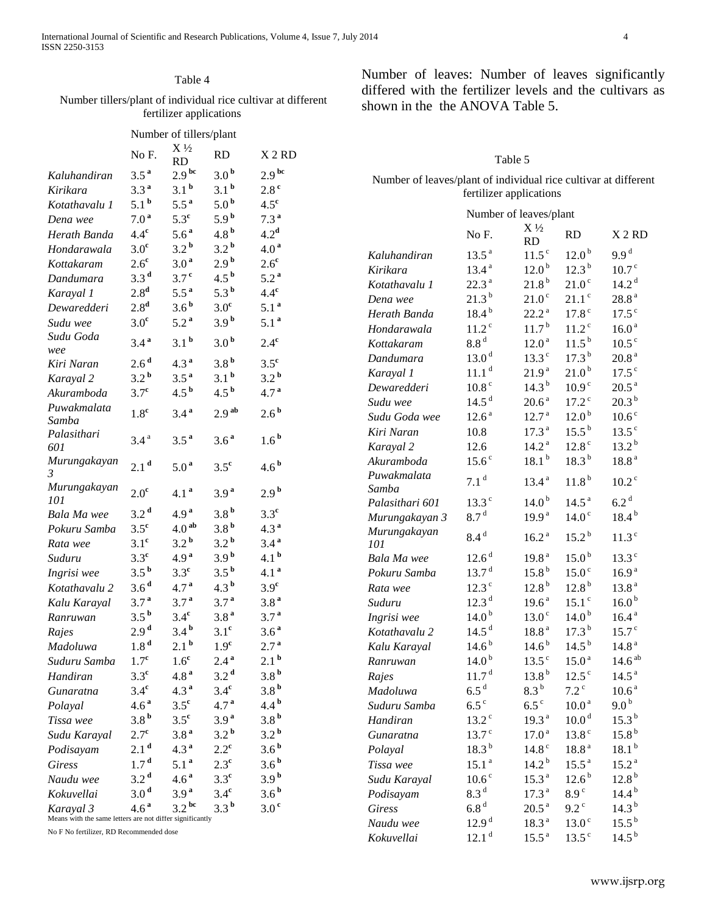# Table 4

# Number tillers/plant of individual rice cultivar at different fertilizer applications

|                                                                                                                                                        | Number of tillers/plant |                                            |                    |                    |  |  |
|--------------------------------------------------------------------------------------------------------------------------------------------------------|-------------------------|--------------------------------------------|--------------------|--------------------|--|--|
|                                                                                                                                                        | No F.                   | X <sup>1</sup> / <sub>2</sub><br><b>RD</b> | RD                 | X <sub>2</sub> RD  |  |  |
| Kaluhandiran                                                                                                                                           | $3.5^{\text{a}}$        | 2.9 <sup>bc</sup>                          | 3.0 <sup>b</sup>   | 2.9 <sup>bc</sup>  |  |  |
| Kirikara                                                                                                                                               | 3.3 <sup>a</sup>        | 3.1 <sup>b</sup>                           | 3.1 <sup>b</sup>   | 2.8 <sup>c</sup>   |  |  |
| Kotathavalu 1                                                                                                                                          | 5.1 <sup>b</sup>        | $5.5^{\mathrm{a}}$                         | 5.0 <sup>b</sup>   | $4.5^{\circ}$      |  |  |
| Dena wee                                                                                                                                               | 7.0 <sup>a</sup>        | $5.3^{\circ}$                              | 5.9 <sup>b</sup>   | 7.3 <sup>a</sup>   |  |  |
| Herath Banda                                                                                                                                           | $4.4^{\rm c}$           | $5.6^{\text{a}}$                           | 4.8 <sup>b</sup>   | 4.2 <sup>d</sup>   |  |  |
| Hondarawala                                                                                                                                            | 3.0 <sup>c</sup>        | 3.2 <sup>b</sup>                           | 3.2 <sup>b</sup>   | 4.0 <sup>a</sup>   |  |  |
| Kottakaram                                                                                                                                             | $2.6^{\circ}$           | 3.0 <sup>a</sup>                           | 2.9 <sup>b</sup>   | $2.6^{\circ}$      |  |  |
| Dandumara                                                                                                                                              | 3.3 <sup>d</sup>        | 3.7 <sup>c</sup>                           | $4.5^{\mathrm{b}}$ | 5.2 <sup>a</sup>   |  |  |
| Karayal 1                                                                                                                                              | 2.8 <sup>d</sup>        | $5.5^{\mathrm{a}}$                         | $5.3^{\mathrm{b}}$ | $4.4^{\rm c}$      |  |  |
| Dewaredderi                                                                                                                                            | 2.8 <sup>d</sup>        | 3.6 <sup>b</sup>                           | 3.0 <sup>c</sup>   | 5.1 <sup>a</sup>   |  |  |
| Sudu wee                                                                                                                                               | 3.0 <sup>c</sup>        | 5.2 <sup>a</sup>                           | 3.9 <sup>b</sup>   | 5.1 <sup>a</sup>   |  |  |
| Sudu Goda<br>wee                                                                                                                                       | $3.4^{\text{a}}$        | 3.1 <sup>b</sup>                           | 3.0 <sup>b</sup>   | $2.4^{\rm c}$      |  |  |
| Kiri Naran                                                                                                                                             | 2.6 <sup>d</sup>        | 4.3 <sup>a</sup>                           | 3.8 <sup>b</sup>   | $3.5^{\circ}$      |  |  |
| Karayal 2                                                                                                                                              | 3.2 <sup>b</sup>        | 3.5 <sup>a</sup>                           | $3.1^{\mathrm{b}}$ | $3.2^{\mathrm{b}}$ |  |  |
| Akuramboda                                                                                                                                             | 3.7 <sup>c</sup>        | $4.5^{\mathrm{b}}$                         | $4.5^{\mathrm{b}}$ | 4.7 <sup>a</sup>   |  |  |
| Puwakmalata                                                                                                                                            |                         |                                            |                    |                    |  |  |
| Samba                                                                                                                                                  | 1.8 <sup>c</sup>        | 3.4 <sup>a</sup>                           | 2.9 <sup>ab</sup>  | $2.6^{\mathrm{b}}$ |  |  |
| Palasithari<br>601                                                                                                                                     | 3.4 <sup>a</sup>        | 3.5 <sup>a</sup>                           | 3.6 <sup>a</sup>   | 1.6 <sup>b</sup>   |  |  |
| Murungakayan<br>$\mathfrak{Z}$                                                                                                                         | 2.1 <sup>d</sup>        | 5.0 <sup>a</sup>                           | $3.5^{\circ}$      | 4.6 <sup>b</sup>   |  |  |
| Murungakayan<br>101                                                                                                                                    | $2.0^{\circ}$           | 4.1 <sup>a</sup>                           | 3.9 <sup>a</sup>   | 2.9 <sup>b</sup>   |  |  |
| Bala Ma wee                                                                                                                                            | 3.2 <sup>d</sup>        | 4.9 <sup>a</sup>                           | 3.8 <sup>b</sup>   | $3.3^{\circ}$      |  |  |
| Pokuru Samba                                                                                                                                           | $3.5^{\circ}$           | 4.0 <sup>ab</sup>                          | 3.8 <sup>b</sup>   | 4.3 <sup>a</sup>   |  |  |
| Rata wee                                                                                                                                               | 3.1 <sup>c</sup>        | 3.2 <sup>b</sup>                           | $3.2^{\mathrm{b}}$ | 3.4 <sup>a</sup>   |  |  |
| Suduru                                                                                                                                                 | $3.3^{\circ}$           | 4.9 <sup>a</sup>                           | 3.9 <sup>b</sup>   | 4.1 $b$            |  |  |
| Ingrisi wee                                                                                                                                            | $3.5^{\mathrm{b}}$      | $3.3^{\circ}$                              | $3.5^{\mathrm{b}}$ | 4.1 <sup>a</sup>   |  |  |
| Kotathavalu 2                                                                                                                                          | 3.6 <sup>d</sup>        | 4.7 <sup>a</sup>                           | 4.3 <sup>b</sup>   | 3.9 <sup>c</sup>   |  |  |
| Kalu Karayal                                                                                                                                           | 3.7 <sup>a</sup>        | 3.7 <sup>a</sup>                           | 3.7 <sup>a</sup>   | 3.8 <sup>a</sup>   |  |  |
| Ranruwan                                                                                                                                               | $3.5^{\mathrm{b}}$      | $3.4^{\rm c}$                              | 3.8 <sup>a</sup>   | 3.7 <sup>a</sup>   |  |  |
| Rajes                                                                                                                                                  | 2.9 <sup>d</sup>        | 3.4 <sup>b</sup>                           | 3.1 <sup>c</sup>   | 3.6 <sup>a</sup>   |  |  |
| Madoluwa                                                                                                                                               | 1.8 <sup>d</sup>        | 2.1 <sup>b</sup>                           | 1.9 <sup>c</sup>   | 2.7 <sup>a</sup>   |  |  |
| Suduru Samba                                                                                                                                           | 1.7 <sup>c</sup>        | 1.6 <sup>c</sup>                           | 2.4 <sup>a</sup>   | 2.1 <sup>b</sup>   |  |  |
| Handiran                                                                                                                                               | 3.3 <sup>c</sup>        | 4.8 <sup>a</sup>                           | 3.2 <sup>d</sup>   | 3.8 <sup>b</sup>   |  |  |
| Gunaratna                                                                                                                                              | $3.4^{\circ}$           | $4.3^{\text{a}}$                           | $3.4^{\text{c}}$   | 3.8 <sup>b</sup>   |  |  |
| Polayal                                                                                                                                                | 4.6 <sup>a</sup>        | $3.5^{\circ}$                              | 4.7 <sup>a</sup>   | $4.4^{\mathrm{b}}$ |  |  |
|                                                                                                                                                        | 3.8 <sup>b</sup>        | $3.5^{\circ}$                              | 3.9 <sup>a</sup>   | 3.8 <sup>b</sup>   |  |  |
| Tissa wee                                                                                                                                              | $2.7^{\circ}$           | 3.8 <sup>a</sup>                           | $3.2^{\mathrm{b}}$ | $3.2^{\mathrm{b}}$ |  |  |
| Sudu Karayal                                                                                                                                           |                         |                                            |                    | 3.6 <sup>b</sup>   |  |  |
| Podisayam                                                                                                                                              | 2.1 <sup>d</sup>        | 4.3 <sup>a</sup>                           | $2.2^{\rm c}$      |                    |  |  |
| <b>Giress</b>                                                                                                                                          | 1.7 <sup>d</sup>        | 5.1 <sup>a</sup>                           | $2.3^{\circ}$      | 3.6 <sup>b</sup>   |  |  |
| Naudu wee                                                                                                                                              | 3.2 <sup>d</sup>        | 4.6 <sup>a</sup>                           | $3.3^{\circ}$      | 3.9 <sup>b</sup>   |  |  |
| Kokuvellai                                                                                                                                             | 3.0 <sup>d</sup>        | 3.9 <sup>a</sup>                           | $3.4^{\text{c}}$   | 3.6 <sup>b</sup>   |  |  |
| 3.2 <sup>bc</sup><br>3.3 <sup>b</sup><br>4.6 <sup>a</sup><br>3.0 <sup>c</sup><br>Karayal 3<br>Means with the same letters are not differ significantly |                         |                                            |                    |                    |  |  |

No F No fertilizer, RD Recommended dose

Number of leaves: Number of leaves significantly differed with the fertilizer levels and the cultivars as shown in the the ANOVA Table 5.

| Table 5                                                         |
|-----------------------------------------------------------------|
| Number of leaves/plant of individual rice cultivar at different |
| fertilizer applications                                         |

|                     | Number of leaves/plant           |                      |                     |                     |
|---------------------|----------------------------------|----------------------|---------------------|---------------------|
|                     | No F.                            | $X\frac{1}{2}$<br>RD | RD.                 | X <sub>2</sub> RD   |
| Kaluhandiran        | $13.5^{\text{a}}$                | 11.5 <sup>c</sup>    | $12.0^{b}$          | 9.9 <sup>d</sup>    |
| Kirikara            | 13.4 <sup>a</sup>                | $12.0^{b}$           | $12.3^{b}$          | 10.7 <sup>c</sup>   |
| Kotathavalu 1       | 22.3 <sup>a</sup>                | $21.8^{b}$           | 21.0 <sup>c</sup>   | $14.2^{\text{ d}}$  |
| Dena wee            | $21.3^{b}$                       | 21.0 <sup>c</sup>    | $21.1$ <sup>c</sup> | 28.8 <sup>a</sup>   |
| Herath Banda        | $18.4^{b}$                       | 22.2 <sup>a</sup>    | 17.8 <sup>c</sup>   | 17.5 <sup>c</sup>   |
| Hondarawala         | 11.2 <sup>c</sup>                | $11.7^{b}$           | 11.2 <sup>c</sup>   | 16.0 <sup>a</sup>   |
| Kottakaram          | $8.8^{\rm \,d}$                  | 12.0 <sup>a</sup>    | $11.5^{b}$          | 10.5 <sup>c</sup>   |
| Dandumara           | 13.0 <sup>d</sup>                | $13.3^\circ$         | $17.3^{b}$          | $20.8$ $^{\rm a}$   |
| Karayal 1           | 11.1 <sup>d</sup>                | 21.9 <sup>a</sup>    | $21.0^{b}$          | 17.5 <sup>c</sup>   |
| Dewaredderi         | 10.8 <sup>c</sup>                | $14.3^{b}$           | 10.9 <sup>c</sup>   | $20.5^{\text{ a}}$  |
| Sudu wee            | 14.5 <sup>d</sup>                | 20.6 <sup>a</sup>    | 17.2 <sup>c</sup>   | $20.3^{b}$          |
| Sudu Goda wee       | $12.6^{\text{a}}$                | 12.7 <sup>a</sup>    | 12.0 <sup>b</sup>   | 10.6 <sup>c</sup>   |
| Kiri Naran          | 10.8                             | 17.3 <sup>a</sup>    | $15.5^{b}$          | 13.5 <sup>c</sup>   |
| Karayal 2           | 12.6                             | 14.2 <sup>a</sup>    | 12.8 <sup>c</sup>   | $13.2^{b}$          |
| Akuramboda          | $15.6^\circ$                     | $18.1^{b}$           | $18.3^{b}$          | 18.8 <sup>a</sup>   |
| Puwakmalata         | 7.1 <sup>d</sup>                 | 13.4 <sup>a</sup>    | 11.8 <sup>b</sup>   | 10.2 <sup>c</sup>   |
| Samba               |                                  |                      |                     |                     |
| Palasithari 601     | $13.3^\circ$                     | 14.0 <sup>b</sup>    | 14.5 <sup>a</sup>   | 6.2 <sup>d</sup>    |
| Murungakayan 3      | 8.7 <sup>d</sup>                 | 19.9 <sup>a</sup>    | 14.0 <sup>c</sup>   | $18.4^{b}$          |
| Murungakayan<br>101 | 8.4 <sup>d</sup>                 | 16.2 <sup>a</sup>    | $15.2^{\mathrm{b}}$ | 11.3 <sup>c</sup>   |
| Bala Ma wee         | 12.6 <sup>d</sup>                | 19.8 <sup>a</sup>    | $15.0^{b}$          | $13.3^\circ$        |
| Pokuru Samba        | $13.7^{\mathrm{d}}$              | 15.8 <sup>b</sup>    | 15.0 <sup>c</sup>   | 16.9 <sup>a</sup>   |
| Rata wee            | $12.3^\circ$                     | $12.8^{b}$           | $12.8^{b}$          | 13.8 <sup>a</sup>   |
| Suduru              | 12.3 <sup>d</sup>                | 19.6 <sup>a</sup>    | 15.1 <sup>c</sup>   | 16.0 <sup>b</sup>   |
| Ingrisi wee         | 14.0 <sup>b</sup>                | 13.0 <sup>c</sup>    | 14.0 <sup>b</sup>   | 16.4 <sup>a</sup>   |
| Kotathavalu 2       | 14.5 <sup>d</sup>                | 18.8 <sup>a</sup>    | $17.3^{b}$          | 15.7 <sup>c</sup>   |
| Kalu Karayal        | $14.6^{b}$                       | $14.6^{b}$           | $14.5^{b}$          | 14.8 <sup>a</sup>   |
| Ranruwan            | $14.0^{b}$                       | $13.5^{\circ}$       | 15.0 <sup>a</sup>   | 14.6 <sup>ab</sup>  |
| Rajes               | 11.7 <sup>d</sup>                | $13.8^{b}$           | 12.5 <sup>c</sup>   | 14.5 <sup>a</sup>   |
| Madoluwa            | 6.5 <sup>d</sup>                 | 8.3 <sup>b</sup>     | $7.2^{\circ}$       | 10.6 <sup>a</sup>   |
| Suduru Samba        | $6.5^{\circ}$                    | $6.5^{\circ}$        | 10.0 <sup>a</sup>   | 9.0 <sup>b</sup>    |
| Handiran            | $13.2$ <sup>c</sup>              | 19.3 <sup>a</sup>    | 10.0 <sup>d</sup>   | $15.3^{b}$          |
| <i>Gunaratna</i>    | 13.7 <sup>c</sup>                | 17.0 <sup>a</sup>    | 13.8 <sup>c</sup>   | 15.8 <sup>b</sup>   |
| Polayal             | $18.3^{b}$                       | 14.8 <sup>c</sup>    | 18.8 <sup>a</sup>   | $18.1^{b}$          |
| Tissa wee           | 15.1 <sup>a</sup>                | $14.2^{b}$           | $15.5^{\text{a}}$   | 15.2 <sup>a</sup>   |
| Sudu Karayal        | $10.6\ensuremath{\,^\mathrm{c}}$ | 15.3 <sup>a</sup>    | $12.6^{\mathrm{b}}$ | $12.8^{\mathrm{b}}$ |
| Podisayam           | $8.3^{\rm \,d}$                  | 17.3 <sup>a</sup>    | 8.9 <sup>c</sup>    | $14.4^{b}$          |
| <b>Giress</b>       | $6.8^{\,\rm d}$                  | $20.5^{\text{ a}}$   | $9.2^{\circ}$       | $14.3^{b}$          |
| Naudu wee           | 12.9 <sup>d</sup>                | 18.3 <sup>a</sup>    | 13.0 <sup>c</sup>   | $15.5^{b}$          |
| Kokuvellai          | $12.1^{\text{ d}}$               | $15.5^{\text{a}}$    | $13.5^\circ$        | $14.5^{b}$          |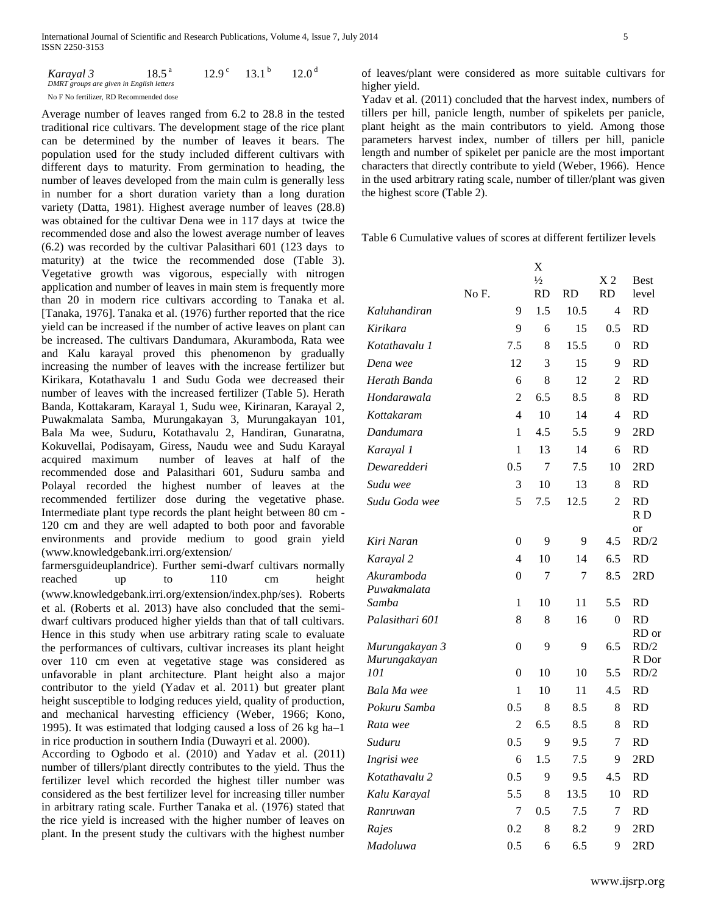| Karayal 3                                | $18.5^{\text{a}}$ | $12.9^{\circ}$ | $13.1^{b}$ | 12.0 <sup>d</sup> |
|------------------------------------------|-------------------|----------------|------------|-------------------|
| DMRT groups are given in English letters |                   |                |            |                   |
| No F No fertilizer. RD Recommended dose  |                   |                |            |                   |

Average number of leaves ranged from 6.2 to 28.8 in the tested traditional rice cultivars. The development stage of the rice plant can be determined by the number of leaves it bears. The population used for the study included different cultivars with different days to maturity. From germination to heading, the number of leaves developed from the main culm is generally less in number for a short duration variety than a long duration variety (Datta, 1981). Highest average number of leaves (28.8) was obtained for the cultivar Dena wee in 117 days at twice the recommended dose and also the lowest average number of leaves (6.2) was recorded by the cultivar Palasithari 601 (123 days to maturity) at the twice the recommended dose (Table 3). Vegetative growth was vigorous, especially with nitrogen application and number of leaves in main stem is frequently more than 20 in modern rice cultivars according to Tanaka et al. [Tanaka, 1976]. Tanaka et al. (1976) further reported that the rice yield can be increased if the number of active leaves on plant can be increased. The cultivars Dandumara, Akuramboda, Rata wee and Kalu karayal proved this phenomenon by gradually increasing the number of leaves with the increase fertilizer but Kirikara, Kotathavalu 1 and Sudu Goda wee decreased their number of leaves with the increased fertilizer (Table 5). Herath Banda, Kottakaram, Karayal 1, Sudu wee, Kirinaran, Karayal 2, Puwakmalata Samba, Murungakayan 3, Murungakayan 101, Bala Ma wee, Suduru, Kotathavalu 2, Handiran, Gunaratna, Kokuvellai, Podisayam, Giress, Naudu wee and Sudu Karayal acquired maximum number of leaves at half of the recommended dose and Palasithari 601, Suduru samba and Polayal recorded the highest number of leaves at the recommended fertilizer dose during the vegetative phase. Intermediate plant type records the plant height between 80 cm - 120 cm and they are well adapted to both poor and favorable environments and provide medium to good grain yield (www.knowledgebank.irri.org/extension/

farmersguideuplandrice). Further semi-dwarf cultivars normally reached up to 110 cm height (www.knowledgebank.irri.org/extension/index.php/ses). Roberts et al. (Roberts et al. 2013) have also concluded that the semidwarf cultivars produced higher yields than that of tall cultivars. Hence in this study when use arbitrary rating scale to evaluate the performances of cultivars, cultivar increases its plant height over 110 cm even at vegetative stage was considered as unfavorable in plant architecture. Plant height also a major contributor to the yield (Yadav et al. 2011) but greater plant height susceptible to lodging reduces yield, quality of production, and mechanical harvesting efficiency (Weber, 1966; Kono, 1995). It was estimated that lodging caused a loss of 26 kg ha–1 in rice production in southern India (Duwayri et al. 2000).

According to Ogbodo et al. (2010) and Yadav et al. (2011) number of tillers/plant directly contributes to the yield. Thus the fertilizer level which recorded the highest tiller number was considered as the best fertilizer level for increasing tiller number in arbitrary rating scale. Further Tanaka et al. (1976) stated that the rice yield is increased with the higher number of leaves on plant. In the present study the cultivars with the highest number

of leaves/plant were considered as more suitable cultivars for higher yield.

Yadav et al. (2011) concluded that the harvest index, numbers of tillers per hill, panicle length, number of spikelets per panicle, plant height as the main contributors to yield. Among those parameters harvest index, number of tillers per hill, panicle length and number of spikelet per panicle are the most important characters that directly contribute to yield (Weber, 1966). Hence in the used arbitrary rating scale, number of tiller/plant was given the highest score (Table 2).

Table 6 Cumulative values of scores at different fertilizer levels

|                 |       |                | X             |           |                |                |
|-----------------|-------|----------------|---------------|-----------|----------------|----------------|
|                 |       |                | $\frac{1}{2}$ |           | X <sub>2</sub> | <b>Best</b>    |
|                 | No F. |                | <b>RD</b>     | <b>RD</b> | <b>RD</b>      | level          |
| Kaluhandiran    |       | 9              | 1.5           | 10.5      | $\overline{4}$ | <b>RD</b>      |
| Kirikara        |       | 9              | 6             | 15        | 0.5            | <b>RD</b>      |
| Kotathavalu 1   |       | 7.5            | 8             | 15.5      | $\theta$       | <b>RD</b>      |
| Dena wee        |       | 12             | 3             | 15        | 9              | <b>RD</b>      |
| Herath Banda    |       | 6              | 8             | 12        | 2              | <b>RD</b>      |
| Hondarawala     |       | $\overline{2}$ | 6.5           | 8.5       | 8              | <b>RD</b>      |
| Kottakaram      |       | $\overline{4}$ | 10            | 14        | $\overline{4}$ | <b>RD</b>      |
| Dandumara       |       | 1              | 4.5           | 5.5       | 9              | 2RD            |
| Karayal 1       |       | 1              | 13            | 14        | 6              | <b>RD</b>      |
| Dewaredderi     |       | 0.5            | 7             | 7.5       | 10             | 2RD            |
| Sudu wee        |       | 3              | 10            | 13        | 8              | <b>RD</b>      |
| Sudu Goda wee   |       | 5              | 7.5           | 12.5      | $\overline{2}$ | <b>RD</b>      |
|                 |       |                |               |           |                | R <sub>D</sub> |
| Kiri Naran      |       | $\theta$       | 9             | 9         | 4.5            | or<br>RD/2     |
| Karayal 2       |       | 4              | 10            | 14        | 6.5            | <b>RD</b>      |
| Akuramboda      |       | 0              | 7             | 7         | 8.5            | 2RD            |
| Puwakmalata     |       |                |               |           |                |                |
| Samba           |       | 1              | 10            | 11        | 5.5            | <b>RD</b>      |
| Palasithari 601 |       | 8              | 8             | 16        | $\theta$       | <b>RD</b>      |
| Murungakayan 3  |       | $\overline{0}$ | 9             | 9         | 6.5            | RD or<br>RD/2  |
| Murungakayan    |       |                |               |           |                | R Dor          |
| 101             |       | $\overline{0}$ | 10            | 10        | 5.5            | RD/2           |
| Bala Ma wee     |       | 1              | 10            | 11        | 4.5            | <b>RD</b>      |
| Pokuru Samba    |       | 0.5            | 8             | 8.5       | 8              | <b>RD</b>      |
| Rata wee        |       | $\overline{2}$ | 6.5           | 8.5       | 8              | <b>RD</b>      |
| Suduru          |       | 0.5            | 9             | 9.5       | 7              | <b>RD</b>      |
| Ingrisi wee     |       | 6              | 1.5           | 7.5       | 9              | 2RD            |
| Kotathavalu 2   |       | 0.5            | 9             | 9.5       | 4.5            | <b>RD</b>      |
| Kalu Karayal    |       | 5.5            | 8             | 13.5      | 10             | <b>RD</b>      |
| Ranruwan        |       | 7              | 0.5           | 7.5       | 7              | <b>RD</b>      |
| Rajes           |       | 0.2            | 8             | 8.2       | 9              | 2RD            |
| Madoluwa        |       | 0.5            | 6             | 6.5       | 9              | 2RD            |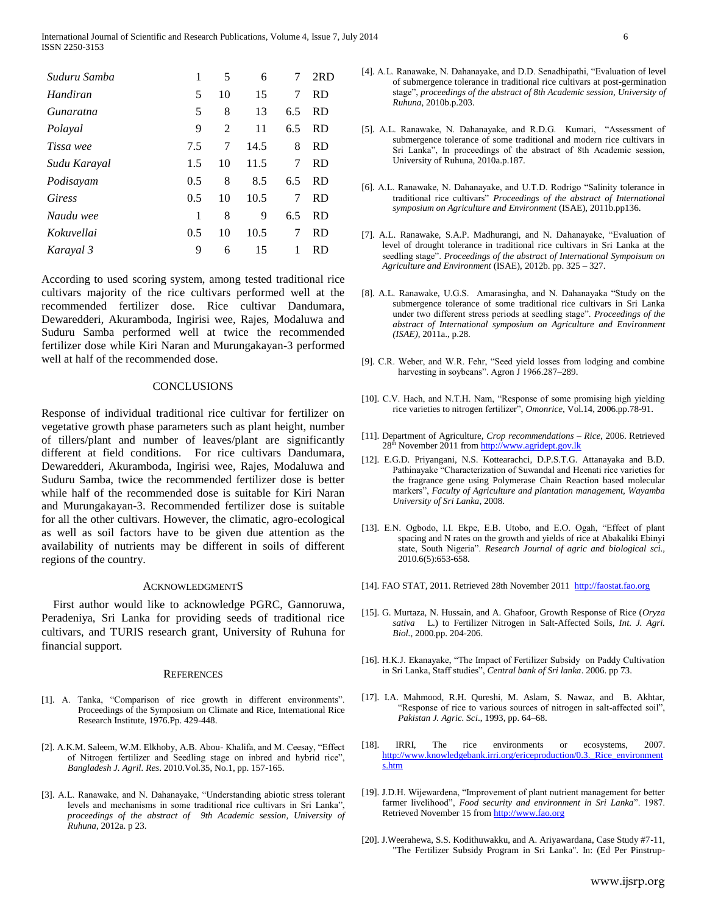| Suduru Samba  | 1   | 5  | 6    | 7   | 2RD       |
|---------------|-----|----|------|-----|-----------|
| Handiran      | 5   | 10 | 15   | 7   | <b>RD</b> |
| Gunaratna     | 5   | 8  | 13   | 6.5 | <b>RD</b> |
| Polayal       | 9   | 2  | 11   | 6.5 | <b>RD</b> |
| Tissa wee     | 7.5 | 7  | 14.5 | 8   | <b>RD</b> |
| Sudu Karayal  | 1.5 | 10 | 11.5 | 7   | <b>RD</b> |
| Podisayam     | 0.5 | 8  | 8.5  | 6.5 | <b>RD</b> |
| <b>Giress</b> | 0.5 | 10 | 10.5 | 7   | <b>RD</b> |
| Naudu wee     | 1   | 8  | 9    | 6.5 | <b>RD</b> |
| Kokuvellai    | 0.5 | 10 | 10.5 | 7   | <b>RD</b> |
| Karayal 3     | 9   | 6  | 15   | 1   | <b>RD</b> |

According to used scoring system, among tested traditional rice cultivars majority of the rice cultivars performed well at the recommended fertilizer dose. Rice cultivar Dandumara, Dewaredderi, Akuramboda, Ingirisi wee, Rajes, Modaluwa and Suduru Samba performed well at twice the recommended fertilizer dose while Kiri Naran and Murungakayan-3 performed well at half of the recommended dose.

## **CONCLUSIONS**

Response of individual traditional rice cultivar for fertilizer on vegetative growth phase parameters such as plant height, number of tillers/plant and number of leaves/plant are significantly different at field conditions. For rice cultivars Dandumara, Dewaredderi, Akuramboda, Ingirisi wee, Rajes, Modaluwa and Suduru Samba, twice the recommended fertilizer dose is better while half of the recommended dose is suitable for Kiri Naran and Murungakayan-3. Recommended fertilizer dose is suitable for all the other cultivars. However, the climatic, agro-ecological as well as soil factors have to be given due attention as the availability of nutrients may be different in soils of different regions of the country.

#### ACKNOWLEDGMENTS

First author would like to acknowledge PGRC, Gannoruwa, Peradeniya, Sri Lanka for providing seeds of traditional rice cultivars, and TURIS research grant, University of Ruhuna for financial support.

#### **REFERENCES**

- [1]. A. Tanka, "Comparison of rice growth in different environments". Proceedings of the Symposium on Climate and Rice, International Rice Research Institute, 1976.Pp. 429-448.
- [2]. A.K.M. Saleem, W.M. Elkhoby, A.B. Abou- Khalifa, and M. Ceesay, "Effect of Nitrogen fertilizer and Seedling stage on inbred and hybrid rice", *Bangladesh J. Agril. Res*. 2010.Vol.35, No.1, pp. 157-165.
- [3]. A.L. Ranawake, and N. Dahanayake, "Understanding abiotic stress tolerant levels and mechanisms in some traditional rice cultivars in Sri Lanka", *proceedings of the abstract of 9th Academic session, University of Ruhuna*, 2012a. p 23.
- [4]. A.L. Ranawake, N. Dahanayake, and D.D. Senadhipathi, "Evaluation of level of submergence tolerance in traditional rice cultivars at post-germination stage", *proceedings of the abstract of 8th Academic session, University of Ruhuna*, 2010b.p.203.
- [5]. A.L. Ranawake, N. Dahanayake, and R.D.G. Kumari, "Assessment of submergence tolerance of some traditional and modern rice cultivars in Sri Lanka", In proceedings of the abstract of 8th Academic session, University of Ruhuna, 2010a.p.187.
- [6]. A.L. Ranawake, N. Dahanayake, and U.T.D. Rodrigo "Salinity tolerance in traditional rice cultivars" *Proceedings of the abstract of International symposium on Agriculture and Environment* (ISAE), 2011b.pp136.
- [7]. A.L. Ranawake, S.A.P. Madhurangi, and N. Dahanayake, "Evaluation of level of drought tolerance in traditional rice cultivars in Sri Lanka at the seedling stage". *Proceedings of the abstract of International Sympoisum on Agriculture and Environment* (ISAE), 2012b. pp. 325 – 327.
- [8]. A.L. Ranawake, U.G.S. Amarasingha, and N. Dahanayaka "Study on the submergence tolerance of some traditional rice cultivars in Sri Lanka under two different stress periods at seedling stage". *Proceedings of the abstract of International symposium on Agriculture and Environment (ISAE)*, 2011a., p.28.
- [9]. C.R. Weber, and W.R. Fehr, "Seed yield losses from lodging and combine harvesting in soybeans". Agron J 1966.287-289.
- [10]. C.V. Hach, and N.T.H. Nam, "Response of some promising high yielding rice varieties to nitrogen fertilizer", *Omonrice*, Vol.14, 2006.pp.78-91.
- [11]. Department of Agriculture, *Crop recommendations – Rice*, 2006. Retrieved 28<sup>th</sup> November 2011 fro[m http://www.agridept.gov.lk](http://www.agridept.gov.lk/)
- [12]. E.G.D. Priyangani, N.S. Kottearachci, D.P.S.T.G. Attanayaka and B.D. Pathinayake "Characterization of Suwandal and Heenati rice varieties for the fragrance gene using Polymerase Chain Reaction based molecular markers", *Faculty of Agriculture and plantation management, Wayamba University of Sri Lanka*, 2008.
- [13]. E.N. Ogbodo, I.I. Ekpe, E.B. Utobo, and E.O. Ogah, "Effect of plant spacing and N rates on the growth and yields of rice at Abakaliki Ebinyi state, South Nigeria". *Research Journal of agric and biological sci.,* 2010.6(5):653-658.
- [14]. FAO STAT, 2011. Retrieved 28th November 2011 [http://faostat.fao.org](http://faostat.fao.org/)
- [15]. G. Murtaza, N. Hussain, and A. Ghafoor, Growth Response of Rice (*Oryza sativa* L.) to Fertilizer Nitrogen in Salt-Affected Soils, *Int. J. Agri. Biol.,* 2000.pp. 204-206.
- [16]. H.K.J. Ekanayake, "The Impact of Fertilizer Subsidy on Paddy Cultivation in Sri Lanka, Staff studies", *Central bank of Sri lanka*. 2006. pp 73.
- [17]. I.A. Mahmood, R.H. Qureshi, M. Aslam, S. Nawaz, and B. Akhtar, "Response of rice to various sources of nitrogen in salt-affected soil", *Pakistan J. Agric. Sci*., 1993, pp. 64–68.
- [18]. IRRI, The rice environments or ecosystems, 2007. [http://www.knowledgebank.irri.org/ericeproduction/0.3.\\_Rice\\_environment](http://www.knowledgebank.irri.org/ericeproduction/0.3._Rice_environments.htm) [s.htm](http://www.knowledgebank.irri.org/ericeproduction/0.3._Rice_environments.htm)
- [19]. J.D.H. Wijewardena, "Improvement of plant nutrient management for better farmer livelihood", *Food security and environment in Sri Lanka*". 1987. Retrieved November 15 fro[m http://www.fao.org](http://www.fao.org/)
- [20]. J.Weerahewa, S.S. Kodithuwakku, and A. Ariyawardana, Case Study #7-11, "The Fertilizer Subsidy Program in Sri Lanka". In: (Ed Per Pinstrup-